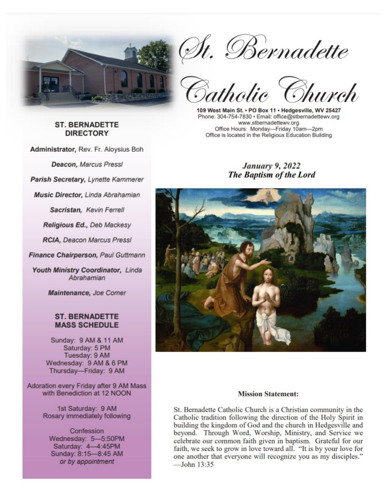

St. Bernadette<br>Catholic Church

109 West Main St. . PO Box 11 . Hedgesville, WV 25427 Phone: 304-754-7830 · Email: office@stbernadettewv.org www.stbernadettewv.org Office Hours: Monday-Friday 10am-2pm Office is located in the Religious Education Building

## **January 9, 2022 The Baptism of the Lord**



#### **Mission Statement:**

St. Bernadette Catholic Church is a Christian community in the Catholic tradition following the direction of the Holy Spirit in building the kingdom of God and the church in Hedgesville and beyond. Through Word, Worship, Ministry, and Service we celebrate our common faith given in baptism. Grateful for our faith, we seek to grow in love toward all. "It is by your love for one another that everyone will recognize you as my disciples."  $-$ John  $13.35$ 

## **ST. BERNADETTE DIRECTORY**

Administrator, Rev. Fr. Aloysius Boh

**Deacon, Marcus Pressl** 

Parish Secretary, Lynette Kammerer

**Music Director, Linda Abrahamian** 

Sacristan, Kevin Ferrell

Religious Ed., Deb Mackesy

**RCIA, Deacon Marcus Pressl** 

Finance Chairperson, Paul Guttmann

Youth Ministry Coordinator, Linda Abrahamian

Maintenance, Joe Comer

## **ST. BERNADETTE MASS SCHEDULE**

Sunday: 9 AM & 11 AM Saturday: 5 PM Tuesday: 9 AM Wednesday: 9 AM & 6 PM Thursday-Friday: 9 AM

Adoration every Friday after 9 AM Mass with Benediction at 12 NOON

> 1st Saturday: 9 AM Rosary immediately following

Confession Wednesday: 5-5:50PM Saturday: 4-4:45PM Sunday: 8:15-8:45 AM or by appointment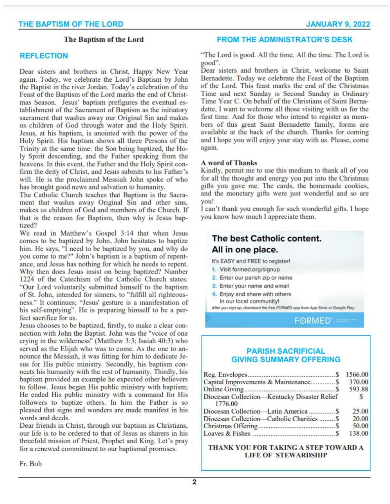## The Baptism of the Lord

### **REFLECTION**

Dear sisters and brothers in Christ, Happy New Year again. Today, we celebrate the Lord's Baptism by John the Baptist in the river Jordan. Today's celebration of the Feast of the Baptism of the Lord marks the end of Christmas Season. Jesus' baptism prefigures the eventual establishment of the Sacrament of Baptism as the initiatory sacrament that washes away our Original Sin and makes us children of God through water and the Holy Spirit. Jesus, at his baptism, is anointed with the power of the Holy Spirit. His baptism shows all three Persons of the Trinity at the same time: the Son being baptized, the Holy Spirit descending, and the Father speaking from the heavens. In this event, the Father and the Holy Spirit confirm the deity of Christ, and Jesus submits to his Father's will. He is the proclaimed Messiah John spoke of who has brought good news and salvation to humanity.

The Catholic Church teaches that Baptism is the Sacrament that washes away Original Sin and other sins, makes us children of God and members of the Church. If that is the reason for Baptism, then why is Jesus baptized?

We read in Matthew's Gospel 3:14 that when Jesus comes to be baptized by John, John hesitates to baptize him. He says, "I need to be baptized by you, and why do you come to me?" John's baptism is a baptism of repentance, and Jesus has nothing for which he needs to repent. Why then does Jesus insist on being baptized? Number 1224 of the Catechism of the Catholic Church states: "Our Lord voluntarily submitted himself to the baptism of St. John, intended for sinners, to "fulfill all righteousness." It continues; "Jesus' gesture is a manifestation of his self-emptying". He is preparing himself to be a perfect sacrifice for us.

Jesus chooses to be baptized, firstly, to make a clear connection with John the Baptist. John was the "voice of one crying in the wilderness" (Matthew 3:3; Isaiah 40:3) who served as the Elijah who was to come. As the one to announce the Messiah, it was fitting for him to dedicate Jesus for His public ministry. Secondly, his baptism connects his humanity with the rest of humanity. Thirdly, his baptism provided an example he expected other believers to follow. Jesus began His public ministry with baptism; He ended His public ministry with a command for His followers to baptize others. In him the Father is so pleased that signs and wonders are made manifest in his words and deeds.

Dear friends in Christ, through our baptism as Christians. our life is to be ordered to that of Jesus as sharers in his threefold mission of Priest, Prophet and King. Let's pray for a renewed commitment to our baptismal promises.

## **FROM THE ADMINISTRATOR'S DESK**

"The Lord is good. All the time. All the time. The Lord is good".

Dear sisters and brothers in Christ, welcome to Saint Bernadette. Today we celebrate the Feast of the Baptism of the Lord. This feast marks the end of the Christmas Time and next Sunday is Second Sunday in Ordinary Time Year C. On behalf of the Christians of Saint Bernadette. I want to welcome all those visiting with us for the first time. And for those who intend to register as members of this great Saint Bernadette family, forms are available at the back of the church. Thanks for coming and I hope you will enjoy your stay with us. Please, come again.

#### **A** word of Thanks

Kindly, permit me to use this medium to thank all of you for all the thought and energy you put into the Christmas gifts you gave me. The cards, the homemade cookies, and the monetary gifts were just wonderful and so are vou!

I can't thank you enough for such wonderful gifts. I hope you know how much I appreciate them.

# The best Catholic content. All in one place.

It's EASY and FREE to register!

- 1. Visit formed.org/signup
- 2. Enter our parish zip or name
- 3. Enter your name and email
- 4. Enjoy and share with others in our local community!

After you sign up, download the free FORMED app from App Store or Google Play.

FORMED<sup>1</sup>

## **PARISH SACRIFICIAL GIVING SUMMARY OFFERING**

|                                                         | 1566.00      |
|---------------------------------------------------------|--------------|
| Capital Improvements & Maintenance \$                   | 370.00       |
|                                                         | 593.88       |
| Diocesan Collection-Kentucky Disaster Relief<br>1776.00 | $\mathbf{S}$ |
|                                                         | 25.00        |
| Diocesan Collection-Catholic Charities  \$              | 20.00        |
|                                                         | 50.00        |
|                                                         | 138.00       |

THANK YOU FOR TAKING A STEP TOWARD A **LIFE OF STEWARDSHIP**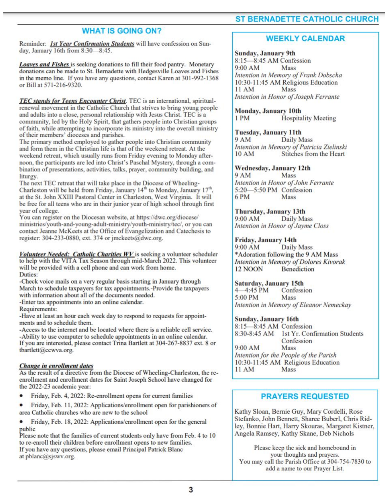## **WHAT IS GOING ON?**

Reminder: Ist Year Confirmation Students will have confession on Sunday, January 16th from 8:30-8:45.

Loaves and Fishes is seeking donations to fill their food pantry. Monetary donations can be made to St. Bernadette with Hedgesville Loaves and Fishes in the memo line. If you have any questions, contact Karen at 301-992-1368 or Bill at 571-216-9320.

TEC stands for Teens Encounter Christ. TEC is an international, spiritualrenewal movement in the Catholic Church that strives to bring young people and adults into a close, personal relationship with Jesus Christ. TEC is a community, led by the Holy Spirit, that gathers people into Christian groups of faith, while attempting to incorporate its ministry into the overall ministry of their members' dioceses and parishes.

The primary method employed to gather people into Christian community and form them in the Christian life is that of the weekend retreat. At the weekend retreat, which usually runs from Friday evening to Monday afternoon, the participants are led into Christ's Paschal Mystery, through a combination of presentations, activities, talks, prayer, community building, and liturgy.

The next TEC retreat that will take place in the Diocese of Wheeling-Charleston will be held from Friday, January 14<sup>th</sup> to Monday, January 17<sup>th</sup>, at the St. John XXIII Pastoral Center in Charleston, West Virginia. It will be free for all teens who are in their junior year of high school through first year of college.

You can register on the Diocesan website, at https://dwc.org/diocese/ ministries/youth-and-young-adult-ministry/youth-ministry/tec/, or you can contact Jeanne McKeets at the Office of Evangelization and Catechesis to register: 304-233-0880, ext. 374 or jmckeets@dwc.org.

Volunteer Needed: Catholic Charities WV is seeking a volunteer scheduler to help with the VITA Tax Season through mid-March 2022. This volunteer will be provided with a cell phone and can work from home. Duties:

-Check voice mails on a very regular basis starting in January through March to schedule taxpayers for tax appointments.-Provide the taxpayers with information about all of the documents needed.

-Enter tax appointments into an online calendar.

Requirements:

-Have at least an hour each week day to respond to requests for appointments and to schedule them.

-Access to the internet and be located where there is a reliable cell service. -Ability to use computer to schedule appointments in an online calendar. If you are interested, please contact Trina Bartlett at 304-267-8837 ext. 8 or tbartlett@ccwva.org.

#### Change in enrollment dates

As the result of a directive from the Diocese of Wheeling-Charleston, the reenrollment and enrollment dates for Saint Joseph School have changed for the 2022-23 academic year:

٠ Friday, Feb. 4, 2022: Re-enrollment opens for current families

Friday, Feb. 11, 2022: Applications/enrollment open for parishioners of area Catholic churches who are new to the school

٠ Friday, Feb. 18, 2022: Applications/enrollment open for the general public

Please note that the families of current students only have from Feb. 4 to 10 to re-enroll their children before enrollment opens to new families. If you have any questions, please email Principal Patrick Blanc at pblanc@sjswv.org.

## **ST BERNADETTE CATHOLIC CHURCH**

## **WEEKLY CALENDAR**

**Sunday, January 9th** 8:15-8:45 AM Confession  $9:00$  AM **Mass** Intention in Memory of Frank Dobscha 10:30-11:45 AM Religious Education Mass 11 AM Intention in Honor of Joseph Ferrante

## **Monday, January 10th**

1PM **Hospitality Meeting** 

#### **Tuesday, January 11th**

9 AM Daily Mass Intention in Memory of Patricia Zielinski Stitches from the Heart **10 AM** 

#### Wednesday, January 12th

 $9AM$ Mass Intention in Honor of John Ferrante 5:20-5:50 PM Confession 6PM Mass

### Thursday, January 13th

 $9:00$  AM **Daily Mass** Intention in Honor of Jayme Closs

#### Friday, January 14th

9:00 AM Daily Mass \*Adoration following the 9 AM Mass Intention in Memory of Dolores Kivorak 12 NOON Benediction

#### Saturday, January 15th

4 4:45 PM Confession 5:00 PM Mass Intention in Memory of Eleanor Nemeckay

#### Sunday, January 16th

8:15-8:45 AM Confession 8:30-8:45 AM 1st Yr. Confirmation Students Confession 9:00 AM Mass Intention for the People of the Parish 10:30-11:45 AM Religious Education  $11 AM$ Mass

## **PRAYERS REQUESTED**

Kathy Sloan, Bernie Guy, Mary Cordelli, Rose Stefanko, John Bennett, Sharee Buberl, Chris Ridley, Bonnie Hart, Harry Skouras, Margaret Kistner, Angela Ramsey, Kathy Skane, Deb Nichols

Please keep the sick and homebound in your thoughts and prayers. You may call the Parish Office at 304-754-7830 to add a name to our Prayer List.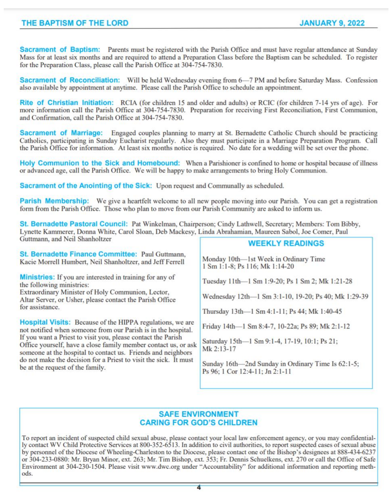## THE BAPTISM OF THE LORD

Sacrament of Baptism: Parents must be registered with the Parish Office and must have regular attendance at Sunday Mass for at least six months and are required to attend a Preparation Class before the Baptism can be scheduled. To register for the Preparation Class, please call the Parish Office at 304-754-7830.

Sacrament of Reconciliation: Will be held Wednesday evening from 6-7 PM and before Saturday Mass. Confession also available by appointment at anytime. Please call the Parish Office to schedule an appointment.

Rite of Christian Initiation: RCIA (for children 15 and older and adults) or RCIC (for children 7-14 vrs of age). For more information call the Parish Office at 304-754-7830. Preparation for receiving First Reconciliation, First Communion, and Confirmation, call the Parish Office at 304-754-7830.

Sacrament of Marriage: Engaged couples planning to marry at St. Bernadette Catholic Church should be practicing Catholics, participating in Sunday Eucharist regularly. Also they must participate in a Marriage Preparation Program. Call the Parish Office for information. At least six months notice is required. No date for a wedding will be set over the phone.

Holy Communion to the Sick and Homebound: When a Parishioner is confined to home or hospital because of illness or advanced age, call the Parish Office. We will be happy to make arrangements to bring Holy Communion.

Sacrament of the Anointing of the Sick: Upon request and Communally as scheduled.

Parish Membership: We give a heartfelt welcome to all new people moving into our Parish. You can get a registration form from the Parish Office. Those who plan to move from our Parish Community are asked to inform us.

St. Bernadette Pastoral Council: Pat Winkelman, Chairperson; Cindy Lathwell, Secretary; Members: Tom Bibby, Lynette Kammerer, Donna White, Carol Sloan, Deb Mackesy, Linda Abrahamian, Maureen Sabol, Joe Comer, Paul Guttmann, and Neil Shanholtzer

St. Bernadette Finance Committee: Paul Guttmann. Kacie Morrell Humbert, Neil Shanholtzer, and Jeff Ferrell

Ministries: If you are interested in training for any of the following ministries: Extraordinary Minister of Holy Communion, Lector, Altar Server, or Usher, please contact the Parish Office

for assistance.

Hospital Visits: Because of the HIPPA regulations, we are not notified when someone from our Parish is in the hospital. If you want a Priest to visit you, please contact the Parish Office yourself, have a close family member contact us, or ask someone at the hospital to contact us. Friends and neighbors do not make the decision for a Priest to visit the sick. It must be at the request of the family.

## **WEEKLY READINGS**

Monday 10th-1st Week in Ordinary Time 1 Sm 1:1-8; Ps 116; Mk 1:14-20

Tuesday 11th-1 Sm 1:9-20; Ps 1 Sm 2; Mk 1:21-28

Wednesday 12th-1 Sm 3:1-10, 19-20; Ps 40; Mk 1:29-39

Thursday 13th-1 Sm 4:1-11; Ps 44; Mk 1:40-45

Friday 14th-1 Sm 8:4-7, 10-22a; Ps 89; Mk 2:1-12

Saturday 15th-1 Sm 9:1-4, 17-19, 10:1; Ps 21; Mk 2:13-17

Sunday 16th-2nd Sunday in Ordinary Time Is 62:1-5; Ps 96; 1 Cor 12:4-11; Jn 2:1-11

## **SAFE ENVIRONMENT CARING FOR GOD'S CHILDREN**

To report an incident of suspected child sexual abuse, please contact your local law enforcement agency, or you may confidentially contact WV Child Protective Services at 800-352-6513. In addition to civil authorities, to report suspected cases of sexual abuse by personnel of the Diocese of Wheeling-Charleston to the Diocese, please contact one of the Bishop's designees at 888-434-6237 or 304-233-0880: Mr. Bryan Minor, ext. 263; Mr. Tim Bishop, ext. 353; Fr. Dennis Schuelkens, ext. 270 or call the Office of Safe Environment at 304-230-1504. Please visit www.dwc.org under "Accountability" for additional information and reporting methods.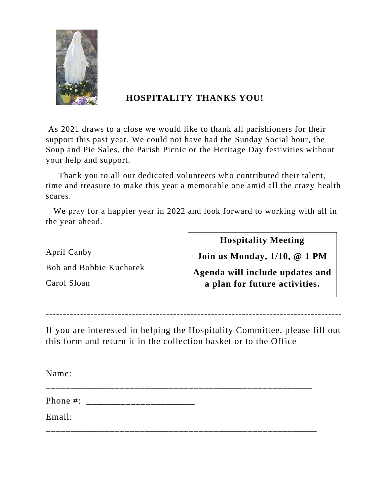

# **HOSPITALITY THANKS YOU!**

As 2021 draws to a close we would like to thank all parishioners for their support this past year. We could not have had the Sunday Social hour, the Soup and Pie Sales, the Parish Picnic or the Heritage Day festivities without your help and support.

 Thank you to all our dedicated volunteers who contributed their talent, time and treasure to make this year a memorable one amid all the crazy health scares.

 We pray for a happier year in 2022 and look forward to working with all in the year ahead.

April Canby

Bob and Bobbie Kucharek

Carol Sloan

**Hospitality Meeting**

**Join us Monday, 1/10, @ 1 PM**

**Agenda will include updates and a plan for future activities.**

--------------------------------------------------------------------------------------

If you are interested in helping the Hospitality Committee, please fill out this form and return it in the collection basket or to the Office

Name: \_\_\_\_\_\_\_\_\_\_\_\_\_\_\_\_\_\_\_\_\_\_\_\_\_\_\_\_\_\_\_\_\_\_\_\_\_\_\_\_\_\_\_\_\_\_\_\_\_\_\_\_\_\_ Phone #: \_\_\_\_\_\_\_\_\_\_\_\_\_\_\_\_\_\_\_\_\_\_ Email: \_\_\_\_\_\_\_\_\_\_\_\_\_\_\_\_\_\_\_\_\_\_\_\_\_\_\_\_\_\_\_\_\_\_\_\_\_\_\_\_\_\_\_\_\_\_\_\_\_\_\_\_\_\_\_